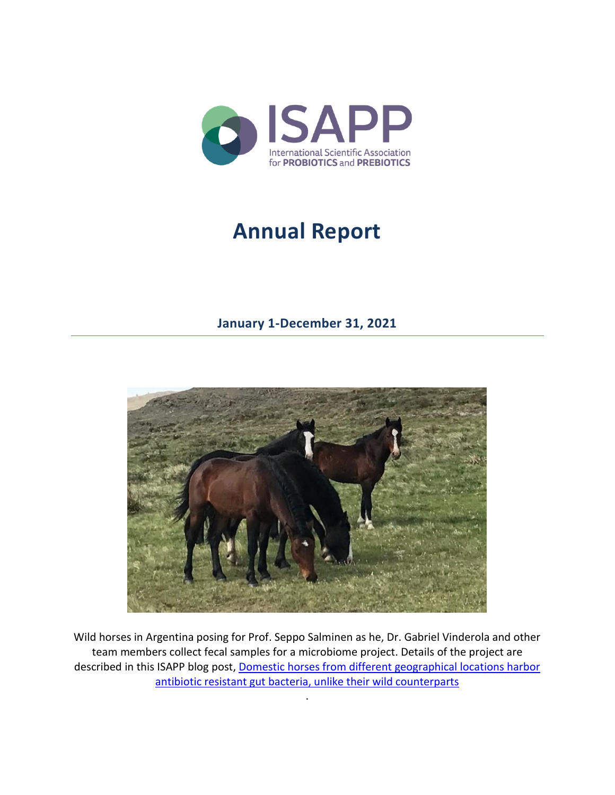

# **Annual Report**

## **January 1-December 31, 2021**



Wild horses in Argentina posing for Prof. Seppo Salminen as he, Dr. Gabriel Vinderola and other team members collect fecal samples for a microbiome project. Details of the project are described in this ISAPP blog post, [Domestic horses from different geographical locations harbor](https://isappscience.org/domestic-horses-from-different-geographical-locations-harbor-antibiotic-resistant-gut-bacteria-unlike-their-wild-counterparts/)  [antibiotic resistant gut bacteria, unlike their wild counterparts](https://isappscience.org/domestic-horses-from-different-geographical-locations-harbor-antibiotic-resistant-gut-bacteria-unlike-their-wild-counterparts/)

.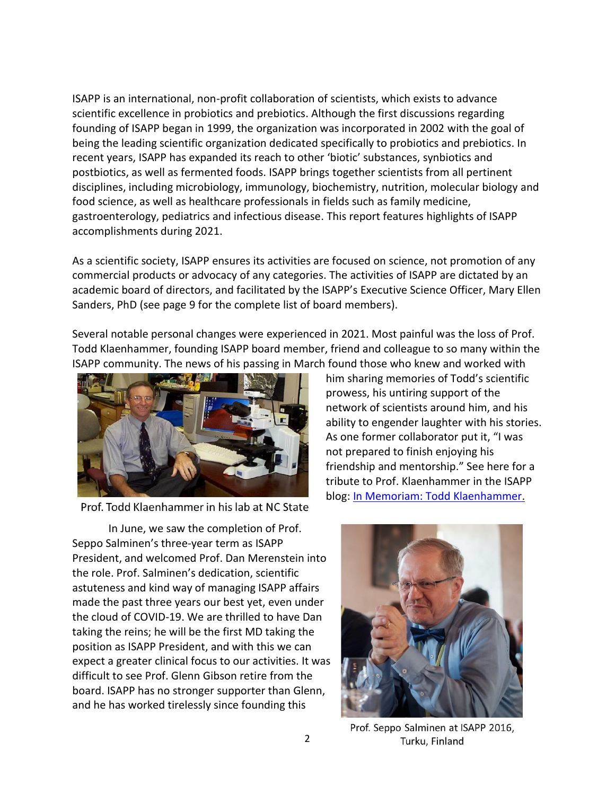ISAPP is an international, non-profit collaboration of scientists, which exists to advance scientific excellence in probiotics and prebiotics. Although the first discussions regarding founding of ISAPP began in 1999, the organization was incorporated in 2002 with the goal of being the leading scientific organization dedicated specifically to probiotics and prebiotics. In recent years, ISAPP has expanded its reach to other 'biotic' substances, synbiotics and postbiotics, as well as fermented foods. ISAPP brings together scientists from all pertinent disciplines, including microbiology, immunology, biochemistry, nutrition, molecular biology and food science, as well as healthcare professionals in fields such as family medicine, gastroenterology, pediatrics and infectious disease. This report features highlights of ISAPP accomplishments during 2021.

As a scientific society, ISAPP ensures its activities are focused on science, not promotion of any commercial products or advocacy of any categories. The activities of ISAPP are dictated by an academic board of directors, and facilitated by the ISAPP's Executive Science Officer, Mary Ellen Sanders, PhD (see page 9 for the complete list of board members).

Several notable personal changes were experienced in 2021. Most painful was the loss of Prof. Todd Klaenhammer, founding ISAPP board member, friend and colleague to so many within the ISAPP community. The news of his passing in March found those who knew and worked with



Prof. Todd Klaenhammer in his lab at NC State

him sharing memories of Todd's scientific prowess, his untiring support of the network of scientists around him, and his ability to engender laughter with his stories. As one former collaborator put it, "I was not prepared to finish enjoying his friendship and mentorship." See here for a tribute to Prof. Klaenhammer in the ISAPP blog: [In Memoriam: Todd Klaenhammer.](https://isappscience.org/in-memoriam-todd-klaenhammer/)

In June, we saw the completion of Prof. Seppo Salminen's three-year term as ISAPP President, and welcomed Prof. Dan Merenstein into the role. Prof. Salminen's dedication, scientific astuteness and kind way of managing ISAPP affairs made the past three years our best yet, even under the cloud of COVID-19. We are thrilled to have Dan taking the reins; he will be the first MD taking the position as ISAPP President, and with this we can expect a greater clinical focus to our activities. It was difficult to see Prof. Glenn Gibson retire from the board. ISAPP has no stronger supporter than Glenn, and he has worked tirelessly since founding this



Prof. Seppo Salminen at ISAPP 2016, Turku, Finland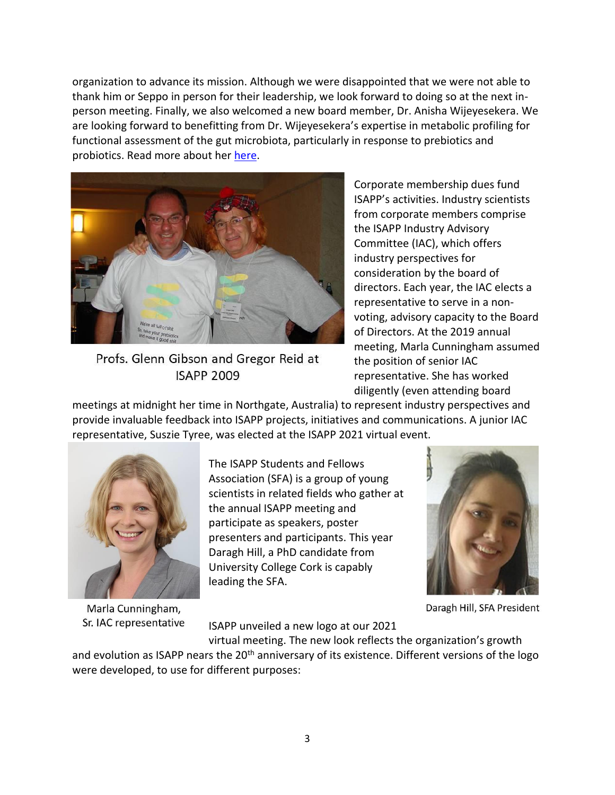organization to advance its mission. Although we were disappointed that we were not able to thank him or Seppo in person for their leadership, we look forward to doing so at the next inperson meeting. Finally, we also welcomed a new board member, Dr. Anisha Wijeyesekera. We are looking forward to benefitting from Dr. Wijeyesekera's expertise in metabolic profiling for functional assessment of the gut microbiota, particularly in response to prebiotics and probiotics. Read more about her [here.](https://isappscience.org/isapp-welcomes-anisha-wijeyesekera-phd-as-new-board-member/)



Profs. Glenn Gibson and Gregor Reid at **ISAPP 2009** 

Corporate membership dues fund ISAPP's activities. Industry scientists from corporate members comprise the ISAPP Industry Advisory Committee (IAC), which offers industry perspectives for consideration by the board of directors. Each year, the IAC elects a representative to serve in a nonvoting, advisory capacity to the Board of Directors. At the 2019 annual meeting, Marla Cunningham assumed the position of senior IAC representative. She has worked diligently (even attending board

meetings at midnight her time in Northgate, Australia) to represent industry perspectives and provide invaluable feedback into ISAPP projects, initiatives and communications. A junior IAC representative, Suszie Tyree, was elected at the ISAPP 2021 virtual event.



Marla Cunningham, Sr. IAC representative

The ISAPP Students and Fellows Association (SFA) is a group of young scientists in related fields who gather at the annual ISAPP meeting and participate as speakers, poster presenters and participants. This year Daragh Hill, a PhD candidate from University College Cork is capably leading the SFA.



Daragh Hill, SFA President

ISAPP unveiled a new logo at our 2021

virtual meeting. The new look reflects the organization's growth and evolution as ISAPP nears the 20<sup>th</sup> anniversary of its existence. Different versions of the logo were developed, to use for different purposes: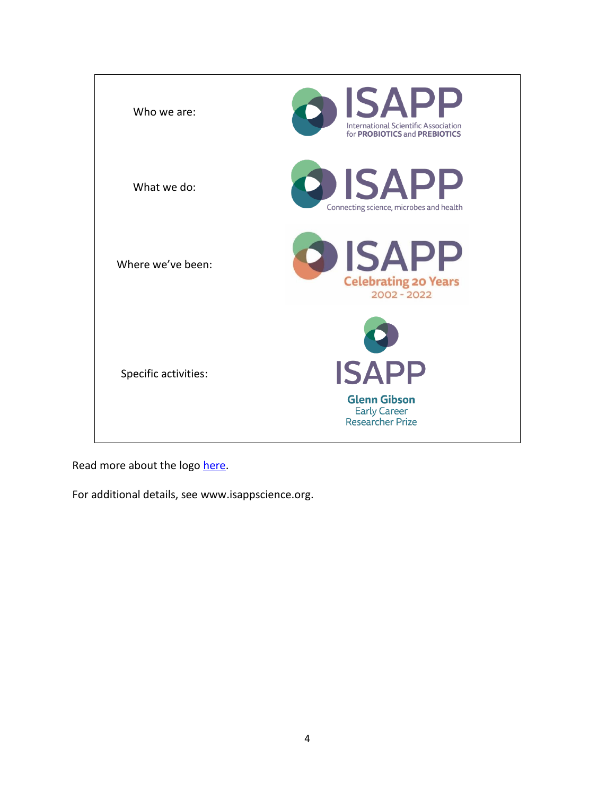

Read more about the logo [here.](https://isappscience.org/isapp-unveils-new-logo-as-20th-anniversary-approaches/)

For additional details, see [www.isappscience.org.](http://www.isappscience.org/)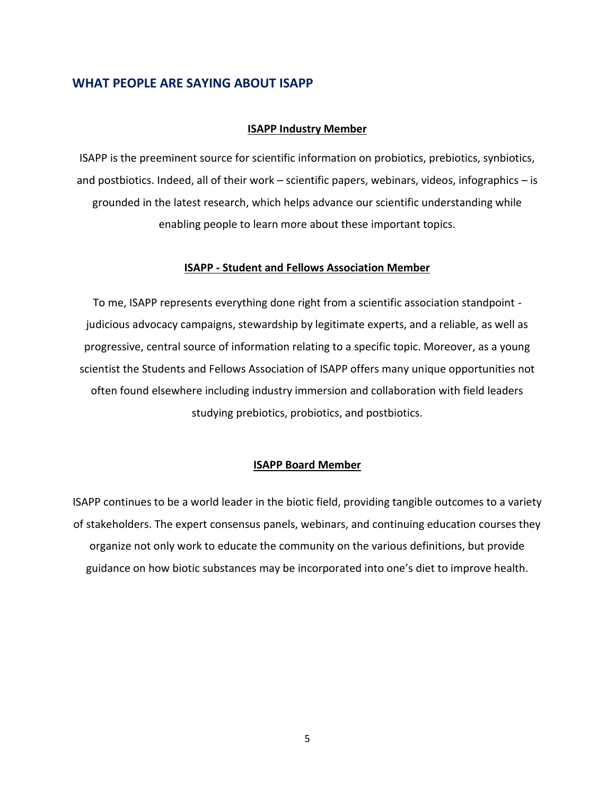#### **WHAT PEOPLE ARE SAYING ABOUT ISAPP**

#### **ISAPP Industry Member**

ISAPP is the preeminent source for scientific information on probiotics, prebiotics, synbiotics, and postbiotics. Indeed, all of their work – scientific papers, webinars, videos, infographics – is grounded in the latest research, which helps advance our scientific understanding while enabling people to learn more about these important topics.

#### **ISAPP - Student and Fellows Association Member**

To me, ISAPP represents everything done right from a scientific association standpoint judicious advocacy campaigns, stewardship by legitimate experts, and a reliable, as well as progressive, central source of information relating to a specific topic. Moreover, as a young scientist the Students and Fellows Association of ISAPP offers many unique opportunities not often found elsewhere including industry immersion and collaboration with field leaders studying prebiotics, probiotics, and postbiotics.

#### **ISAPP Board Member**

ISAPP continues to be a world leader in the biotic field, providing tangible outcomes to a variety of stakeholders. The expert consensus panels, webinars, and continuing education courses they organize not only work to educate the community on the various definitions, but provide guidance on how biotic substances may be incorporated into one's diet to improve health.

5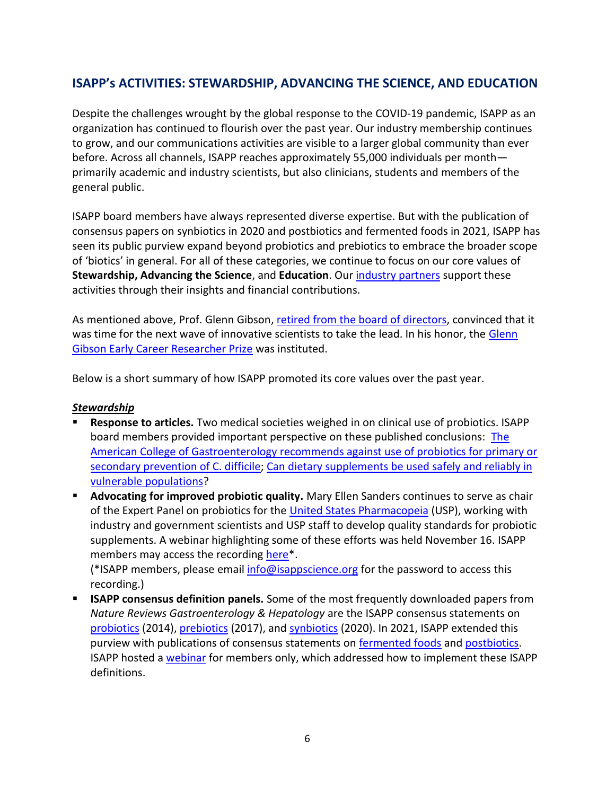## **ISAPP's ACTIVITIES: STEWARDSHIP, ADVANCING THE SCIENCE, AND EDUCATION**

Despite the challenges wrought by the global response to the COVID-19 pandemic, ISAPP as an organization has continued to flourish over the past year. Our industry membership continues to grow, and our communications activities are visible to a larger global community than ever before. Across all channels, ISAPP reaches approximately 55,000 individuals per month primarily academic and industry scientists, but also clinicians, students and members of the general public.

ISAPP board members have always represented diverse expertise. But with the publication of consensus papers on synbiotics in 2020 and postbiotics and fermented foods in 2021, ISAPP has seen its public purview expand beyond probiotics and prebiotics to embrace the broader scope of 'biotics' in general. For all of these categories, we continue to focus on our core values of **Stewardship, Advancing the Science**, and **Education**. Our [industry partners](https://isappscience.org/about/membership/about-industry-membership/) support these activities through their insights and financial contributions.

As mentioned above, Prof. Glenn Gibson, [retired from the board of directors,](https://isappscience.org/isapp-thanks-prof-glenn-gibson-as-he-retires-from-the-organizations-board-of-directors/) convinced that it was time for the next wave of innovative scientists to take the lead. In his honor, the Glenn [Gibson Early Career Researcher Prize](https://isappscience.org/isapps-inaugural-early-career-researcher-prize-awarded-to-two-rising-star-probiotic-scientists/) was instituted.

Below is a short summary of how ISAPP promoted its core values over the past year.

#### *Stewardship*

- **Response to articles.** Two medical societies weighed in on clinical use of probiotics. ISAPP board members provided important perspective on these published conclusions: [The](https://isappscience.org/the-american-college-of-gastroenterology-recommends-against-use-of-probiotics-for-primary-or-secondary-prevention-of-c-difficile/)  [American College of Gastroenterology recommends against use of probiotics for primary or](https://isappscience.org/the-american-college-of-gastroenterology-recommends-against-use-of-probiotics-for-primary-or-secondary-prevention-of-c-difficile/)  [secondary prevention of C. difficile;](https://isappscience.org/the-american-college-of-gastroenterology-recommends-against-use-of-probiotics-for-primary-or-secondary-prevention-of-c-difficile/) Can dietary supplements be used safely and reliably in [vulnerable populations?](https://isappscience.org/can-dietary-supplements-be-used-safely-and-reliably-in-vulnerable-populations/)
- **E** Advocating for improved probiotic quality. Mary Ellen Sanders continues to serve as chair of the Expert Panel on probiotics for the [United States Pharmacopeia](https://www.usp.org/) (USP), working with industry and government scientists and USP staff to develop quality standards for probiotic supplements. A webinar highlighting some of these efforts was held November 16. ISAPP members may access the recording [here\\*](https://isappscience.org/for-members/virtual-content-for-members-only/).

(\*ISAPP members, please email [info@isappscience.org](mailto:info@isappscience.org) for the password to access this recording.)

■ **ISAPP consensus definition panels.** Some of the most frequently downloaded papers from *Nature Reviews Gastroenterology & Hepatology* are the ISAPP consensus statements on [probiotics](https://www.nature.com/articles/nrgastro.2014.66) (2014), [prebiotics](https://www.nature.com/articles/nrgastro.2017.75) (2017), and [synbiotics](https://www.nature.com/articles/s41575-020-0344-2) (2020). In 2021, ISAPP extended this purview with publications of consensus statements on [fermented foods](https://www.nature.com/articles/s41575-020-00390-5.) and [postbiotics.](https://www.nature.com/articles/s41575-021-00440-6) ISAPP hosted a [webinar](https://isappscience.org/follow-up-from-isapp-webinar-probiotics-prebiotics-synbiotics-postbiotics-and-fermented-foods-how-to-implement-isapp-consensus-definitions/) for members only, which addressed how to implement these ISAPP definitions.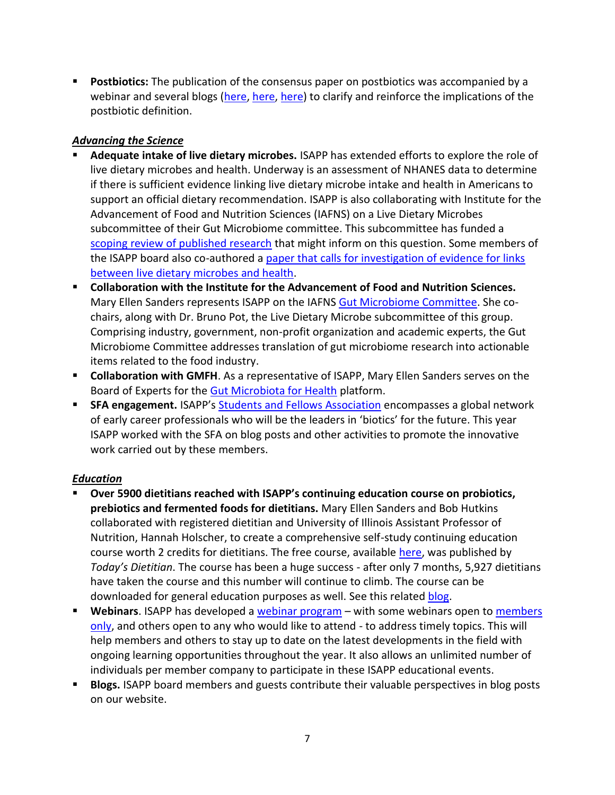■ **Postbiotics:** The publication of the consensus paper on postbiotics was accompanied by a webinar and several blogs [\(here,](https://isappscience.org/should-the-concept-of-postbiotics-make-us-see-probiotics-from-a-new-perspective/) [here,](https://isappscience.org/bacterial-vesicles-emerging-potential-postbiotics/) [here\)](https://isappscience.org/a-postbiotic-is-not-simply-a-dead-probiotic/) to clarify and reinforce the implications of the postbiotic definition.

#### *Advancing the Science*

- **Adequate intake of live dietary microbes.** ISAPP has extended efforts to explore the role of live dietary microbes and health. Underway is an assessment of NHANES data to determine if there is sufficient evidence linking live dietary microbe intake and health in Americans to support an official dietary recommendation. ISAPP is also collaborating with Institute for the Advancement of Food and Nutrition Sciences (IAFNS) on a Live Dietary Microbes subcommittee of their Gut Microbiome committee. This subcommittee has funded a [scoping review of published research](https://isappscience.org/opportunity-for-research-grants-to-help-understand-evidence-linking-live-dietary-microbes-and-health/) that might inform on this question. Some members of the ISAPP board also co-authored a paper that calls for investigation of evidence for links [between live dietary microbes and health.](https://isappscience.org/new-isapp-led-paper-describes-evidence-linking-live-dietary-microbes-with-health-benefits/)
- **Collaboration with the Institute for the Advancement of Food and Nutrition Sciences.**  Mary Ellen Sanders represents ISAPP on the IAFNS [Gut Microbiome Committee.](https://iafns.org/our-work/nutrition/gut-microbiome/) She cochairs, along with Dr. Bruno Pot, the Live Dietary Microbe subcommittee of this group. Comprising industry, government, non-profit organization and academic experts, the Gut Microbiome Committee addresses translation of gut microbiome research into actionable items related to the food industry.
- **E** Collaboration with GMFH. As a representative of ISAPP, Mary Ellen Sanders serves on the Board of Experts for the [Gut Microbiota for Health](https://www.gutmicrobiotaforhealth.com/) platform.
- **EXECT SFA engagement.** ISAPP's [Students and Fellows Association](https://www.isapp-sfa.com/) encompasses a global network of early career professionals who will be the leaders in 'biotics' for the future. This year ISAPP worked with the SFA on blog posts and other activities to promote the innovative work carried out by these members.

#### *Education*

- **Over 5900 dietitians reached with ISAPP's continuing education course on probiotics, prebiotics and fermented foods for dietitians.** Mary Ellen Sanders and Bob Hutkins collaborated with registered dietitian and University of Illinois Assistant Professor of Nutrition, Hannah Holscher, to create a comprehensive self-study continuing education course worth 2 credits for dietitians. The free course, available [here,](http://viewer.zmags.com/publication/c85ca1bd#/c85ca1bd/1) was published by *Today's Dietitian*. The course has been a huge success - after only 7 months, 5,927 dietitians have taken the course and this number will continue to climb. The course can be downloaded for general education purposes as well. See this related [blog.](https://isappscience.org/isapp-publishes-continuing-education-course-for-dietitians/)
- Webinars. ISAPP has developed a [webinar program](https://isappscience.org/upcoming-events-for-members-only/) with some webinars open to members [only,](https://isappscience.org/for-members/virtual-content-for-members-only/) and others open to any who would like to attend - to address timely topics. This will help members and others to stay up to date on the latest developments in the field with ongoing learning opportunities throughout the year. It also allows an unlimited number of individuals per member company to participate in these ISAPP educational events.
- **EXP** Blogs. ISAPP board members and guests contribute their valuable perspectives in blog posts on our website.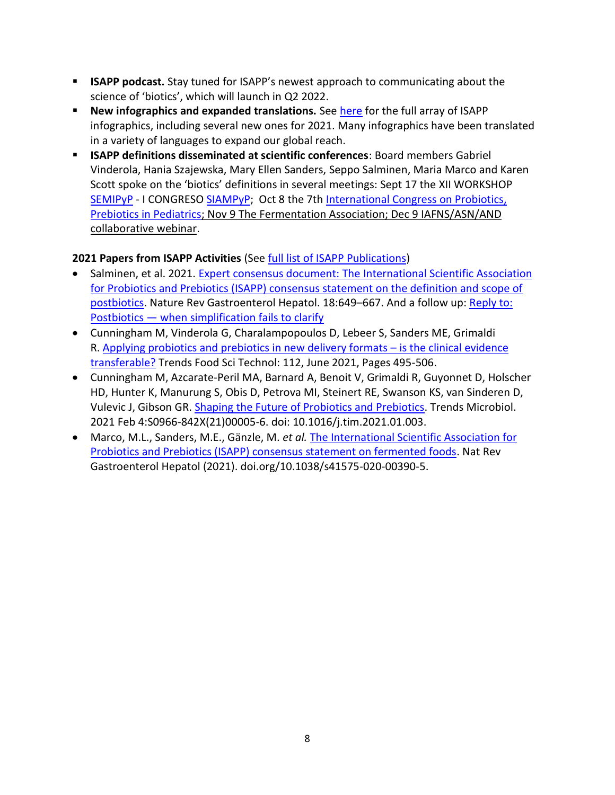- **EXTERP podcast.** Stay tuned for ISAPP's newest approach to communicating about the science of 'biotics', which will launch in Q2 2022.
- **EXP** New infographics and expanded translations. See [here](https://isappscience.org/for-consumers/infographics/) for the full array of ISAPP infographics, including several new ones for 2021. Many infographics have been translated in a variety of languages to expand our global reach.
- **ISAPP definitions disseminated at scientific conferences**: Board members Gabriel Vinderola, Hania Szajewska, Mary Ellen Sanders, Seppo Salminen, Maria Marco and Karen Scott spoke on the 'biotics' definitions in several meetings: Sept 17 the XII WORKSHOP [SEMIPyP](https://semipyp.es/) - I CONGRESO [SIAMPyP;](https://siampyp.org/) Oct 8 the 7th [International Congress on Probiotics,](https://www.mcascientificevents.eu/probiotic-prebiotic-in-pediatric/scientific-information/#scientific-programme)  [Prebiotics in Pediatrics;](https://www.mcascientificevents.eu/probiotic-prebiotic-in-pediatric/scientific-information/#scientific-programme) Nov 9 The Fermentation Association; Dec 9 IAFNS/ASN/AND collaborative webinar.

#### **2021 Papers from ISAPP Activities** (Se[e full list of ISAPP Publications\)](http://isappscience.org/publications/)

- Salminen, et al. 2021. [Expert consensus document: The International Scientific Association](https://www.nature.com/articles/s41575-021-00440-6)  [for Probiotics and Prebiotics \(ISAPP\) consensus statement on the definition and scope of](https://www.nature.com/articles/s41575-021-00440-6)  [postbiotics.](https://www.nature.com/articles/s41575-021-00440-6) Nature Rev Gastroenterol Hepatol. 18:649-667. And a follow up: Reply to: Postbiotics — [when simplification fails to clarify](https://www.nature.com/articles/s41575-021-00522-5)
- Cunningham M, Vinderola G, Charalampopoulos D, Lebeer S, Sanders ME, Grimaldi R. [Applying probiotics and prebiotics in new delivery formats](https://www.sciencedirect.com/science/article/pii/S0924224421002612) – is the clinical evidence [transferable?](https://www.sciencedirect.com/science/article/pii/S0924224421002612) Trends Food Sci Technol: 112, June 2021, Pages 495-506.
- Cunningham M, Azcarate-Peril MA, Barnard A, Benoit V, Grimaldi R, Guyonnet D, Holscher HD, Hunter K, Manurung S, Obis D, Petrova MI, Steinert RE, Swanson KS, van Sinderen D, Vulevic J, Gibson GR. Shaping the Future of Probiotics and [Prebiotics.](https://doi.org/10.1016/j.tim.2021.01.003) Trends Microbiol. 2021 Feb 4:S0966-842X(21)00005-6. doi: 10.1016/j.tim.2021.01.003.
- Marco, M.L., Sanders, M.E., Gänzle, M. *et al.* [The International Scientific Association for](https://doi.org/10.1038/s41575-020-00390-5)  [Probiotics and Prebiotics \(ISAPP\) consensus statement on fermented foods.](https://doi.org/10.1038/s41575-020-00390-5) Nat Rev Gastroenterol Hepatol (2021). doi.org/10.1038/s41575-020-00390-5.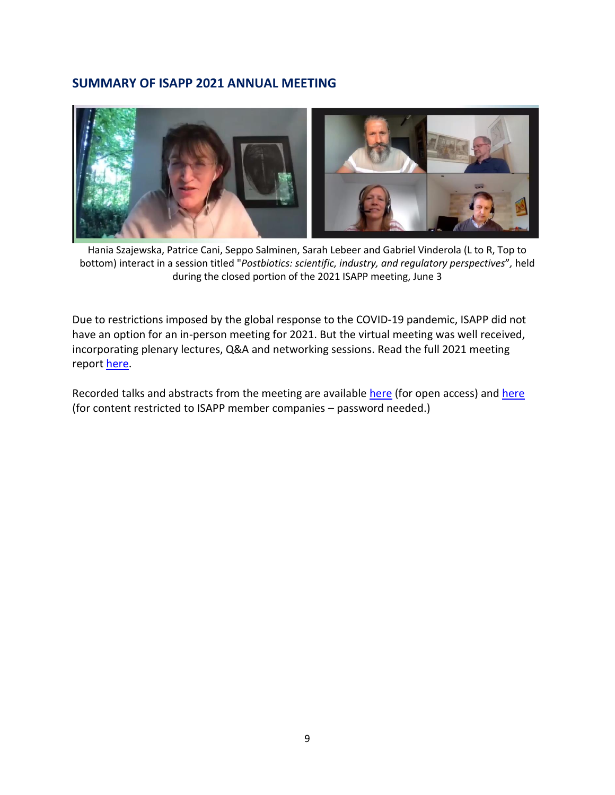#### **SUMMARY OF ISAPP 2021 ANNUAL MEETING**



Hania Szajewska, Patrice Cani, Seppo Salminen, Sarah Lebeer and Gabriel Vinderola (L to R, Top to bottom) interact in a session titled "*Postbiotics: scientific, industry, and regulatory perspectives*"*,* held during the closed portion of the 2021 ISAPP meeting, June 3

Due to restrictions imposed by the global response to the COVID-19 pandemic, ISAPP did not have an option for an in-person meeting for 2021. But the virtual meeting was well received, incorporating plenary lectures, Q&A and networking sessions. Read the full 2021 meeting repor[t here.](https://4cau4jsaler1zglkq3wnmje1-wpengine.netdna-ssl.com/wp-content/uploads/2021/11/2021-Meeting-Report.pdf)

Recorded talks and abstracts from the meeting are available [here](https://isappscience.org/for-members/virtual-content-for-members-only/) (for open access) and here (for content restricted to ISAPP member companies – password needed.)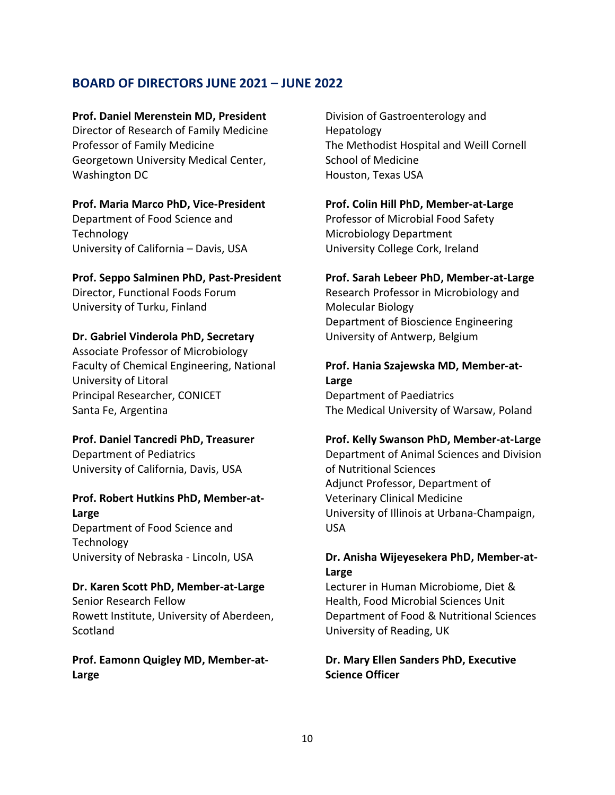### **BOARD OF DIRECTORS JUNE 2021 – JUNE 2022**

#### **Prof. Daniel Merenstein MD, President**

Director of Research of Family Medicine Professor of Family Medicine Georgetown University Medical Center, Washington DC

#### **Prof. Maria Marco PhD, Vice-President**

Department of Food Science and **Technology** University of California – Davis, USA

#### **Prof. Seppo Salminen PhD, Past-President**

Director, Functional Foods Forum University of Turku, Finland

#### **Dr. Gabriel Vinderola PhD, Secretary**

Associate Professor of Microbiology Faculty of Chemical Engineering, National University of Litoral Principal Researcher, CONICET Santa Fe, Argentina

#### **Prof. Daniel Tancredi PhD, Treasurer**

Department of Pediatrics University of California, Davis, USA

# **Prof. Robert Hutkins PhD, Member-at-**

**Large**

Department of Food Science and **Technology** University of Nebraska - Lincoln, USA

#### **Dr. Karen Scott PhD, Member-at-Large**

Senior Research Fellow Rowett Institute, University of Aberdeen, **Scotland** 

#### **Prof. Eamonn Quigley MD, Member-at-Large**

Division of Gastroenterology and Hepatology The Methodist Hospital and Weill Cornell School of Medicine Houston, Texas USA

#### **Prof. Colin Hill PhD, Member-at-Large**

Professor of Microbial Food Safety Microbiology Department University College Cork, Ireland

#### **Prof. Sarah Lebeer PhD, Member-at-Large**

Research Professor in Microbiology and Molecular Biology Department of Bioscience Engineering University of Antwerp, Belgium

#### **Prof. Hania Szajewska MD, Member-at-Large** Department of Paediatrics

The Medical University of Warsaw, Poland

#### **Prof. Kelly Swanson PhD, Member-at-Large**

Department of Animal Sciences and Division of Nutritional Sciences Adjunct Professor, Department of Veterinary Clinical Medicine University of Illinois at Urbana-Champaign, USA

#### **Dr. Anisha Wijeyesekera PhD, Member-at-Large**

Lecturer in Human Microbiome, Diet & Health, Food Microbial Sciences Unit Department of Food & Nutritional Sciences University of Reading, UK

#### **Dr. Mary Ellen Sanders PhD, Executive Science Officer**